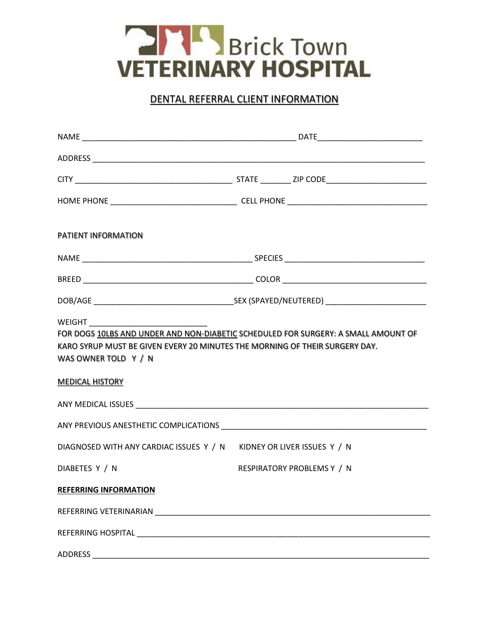

## DENTAL REFERRAL CLIENT INFORMATION

| <b>PATIENT INFORMATION</b>                                                                                                                                                                                                    |  |                            |  |
|-------------------------------------------------------------------------------------------------------------------------------------------------------------------------------------------------------------------------------|--|----------------------------|--|
|                                                                                                                                                                                                                               |  |                            |  |
|                                                                                                                                                                                                                               |  |                            |  |
|                                                                                                                                                                                                                               |  |                            |  |
| FOR DOGS 10LBS AND UNDER AND NON-DIABETIC SCHEDULED FOR SURGERY: A SMALL AMOUNT OF<br>KARO SYRUP MUST BE GIVEN EVERY 20 MINUTES THE MORNING OF THEIR SURGERY DAY.<br>WAS OWNER TOLD Y / N<br><b>MEDICAL HISTORY</b>           |  |                            |  |
|                                                                                                                                                                                                                               |  |                            |  |
| DIAGNOSED WITH ANY CARDIAC ISSUES Y / N KIDNEY OR LIVER ISSUES Y / N                                                                                                                                                          |  |                            |  |
| DIABETES Y / N                                                                                                                                                                                                                |  | RESPIRATORY PROBLEMS Y / N |  |
| <b>REFERRING INFORMATION</b>                                                                                                                                                                                                  |  |                            |  |
| REFERRING VETERINARIAN NEWSFILM AND THE STATE STATES IN THE STATE OF THE STATE OF THE STATE OF THE STATE OF THE STATE OF THE STATE OF THE STATE OF THE STATE OF THE STATE OF THE STATE OF THE STATE OF THE STATE OF THE STATE |  |                            |  |
|                                                                                                                                                                                                                               |  |                            |  |
|                                                                                                                                                                                                                               |  |                            |  |